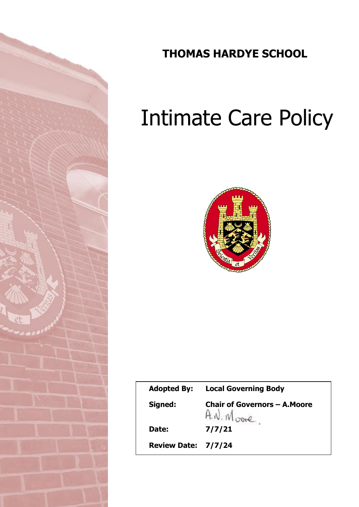

# **THOMAS HARDYE SCHOOL**

# Intimate Care Policy



| <b>Adopted By:</b>  | <b>Local Governing Body</b>                        |
|---------------------|----------------------------------------------------|
| Signed:             | <b>Chair of Governors - A. Moore</b><br>A.N. Moore |
| Date:               | 7/7/21                                             |
| Review Date: 7/7/24 |                                                    |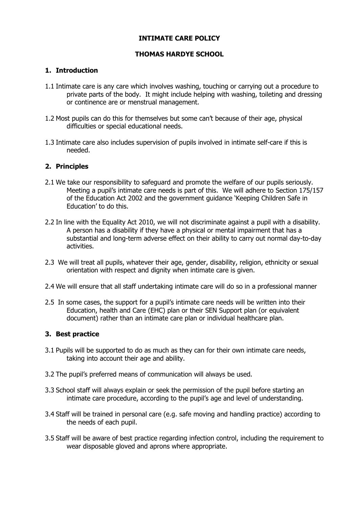# **INTIMATE CARE POLICY**

#### **THOMAS HARDYE SCHOOL**

#### **1. Introduction**

- 1.1 Intimate care is any care which involves washing, touching or carrying out a procedure to private parts of the body. It might include helping with washing, toileting and dressing or continence are or menstrual management.
- 1.2 Most pupils can do this for themselves but some can't because of their age, physical difficulties or special educational needs.
- 1.3 Intimate care also includes supervision of pupils involved in intimate self-care if this is needed.

#### **2. Principles**

- 2.1 We take our responsibility to safeguard and promote the welfare of our pupils seriously. Meeting a pupil's intimate care needs is part of this. We will adhere to Section 175/157 of the Education Act 2002 and the government guidance 'Keeping Children Safe in Education' to do this.
- 2.2 In line with the Equality Act 2010, we will not discriminate against a pupil with a disability. A person has a disability if they have a physical or mental impairment that has a substantial and long-term adverse effect on their ability to carry out normal day-to-day activities.
- 2.3 We will treat all pupils, whatever their age, gender, disability, religion, ethnicity or sexual orientation with respect and dignity when intimate care is given.
- 2.4 We will ensure that all staff undertaking intimate care will do so in a professional manner
- 2.5 In some cases, the support for a pupil's intimate care needs will be written into their Education, health and Care (EHC) plan or their SEN Support plan (or equivalent document) rather than an intimate care plan or individual healthcare plan.

#### **3. Best practice**

- 3.1 Pupils will be supported to do as much as they can for their own intimate care needs, taking into account their age and ability.
- 3.2 The pupil's preferred means of communication will always be used.
- 3.3 School staff will always explain or seek the permission of the pupil before starting an intimate care procedure, according to the pupil's age and level of understanding.
- 3.4 Staff will be trained in personal care (e.g. safe moving and handling practice) according to the needs of each pupil.
- 3.5 Staff will be aware of best practice regarding infection control, including the requirement to wear disposable gloved and aprons where appropriate.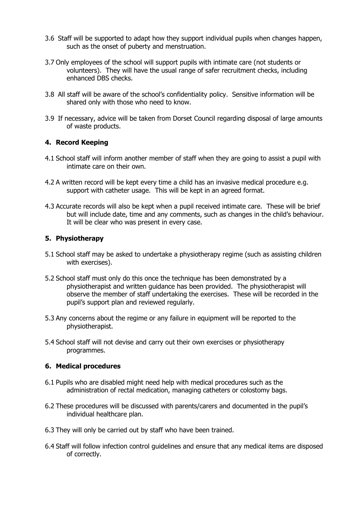- 3.6 Staff will be supported to adapt how they support individual pupils when changes happen, such as the onset of puberty and menstruation.
- 3.7 Only employees of the school will support pupils with intimate care (not students or volunteers). They will have the usual range of safer recruitment checks, including enhanced DBS checks.
- 3.8 All staff will be aware of the school's confidentiality policy. Sensitive information will be shared only with those who need to know.
- 3.9 If necessary, advice will be taken from Dorset Council regarding disposal of large amounts of waste products.

# **4. Record Keeping**

- 4.1 School staff will inform another member of staff when they are going to assist a pupil with intimate care on their own.
- 4.2 A written record will be kept every time a child has an invasive medical procedure e.g. support with catheter usage. This will be kept in an agreed format.
- 4.3 Accurate records will also be kept when a pupil received intimate care. These will be brief but will include date, time and any comments, such as changes in the child's behaviour. It will be clear who was present in every case.

# **5. Physiotherapy**

- 5.1 School staff may be asked to undertake a physiotherapy regime (such as assisting children with exercises).
- 5.2 School staff must only do this once the technique has been demonstrated by a physiotherapist and written guidance has been provided. The physiotherapist will observe the member of staff undertaking the exercises. These will be recorded in the pupil's support plan and reviewed regularly.
- 5.3 Any concerns about the regime or any failure in equipment will be reported to the physiotherapist.
- 5.4 School staff will not devise and carry out their own exercises or physiotherapy programmes.

# **6. Medical procedures**

- 6.1 Pupils who are disabled might need help with medical procedures such as the administration of rectal medication, managing catheters or colostomy bags.
- 6.2 These procedures will be discussed with parents/carers and documented in the pupil's individual healthcare plan.
- 6.3 They will only be carried out by staff who have been trained.
- 6.4 Staff will follow infection control guidelines and ensure that any medical items are disposed of correctly.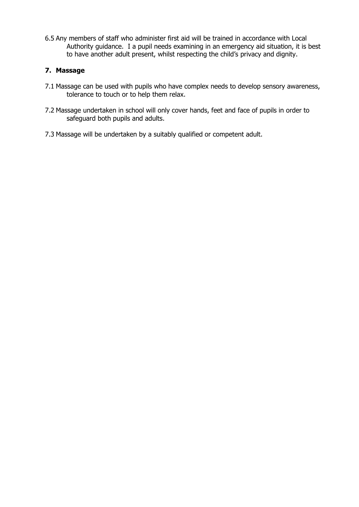6.5 Any members of staff who administer first aid will be trained in accordance with Local Authority guidance. I a pupil needs examining in an emergency aid situation, it is best to have another adult present, whilst respecting the child's privacy and dignity.

# **7. Massage**

- 7.1 Massage can be used with pupils who have complex needs to develop sensory awareness, tolerance to touch or to help them relax.
- 7.2 Massage undertaken in school will only cover hands, feet and face of pupils in order to safeguard both pupils and adults.
- 7.3 Massage will be undertaken by a suitably qualified or competent adult.